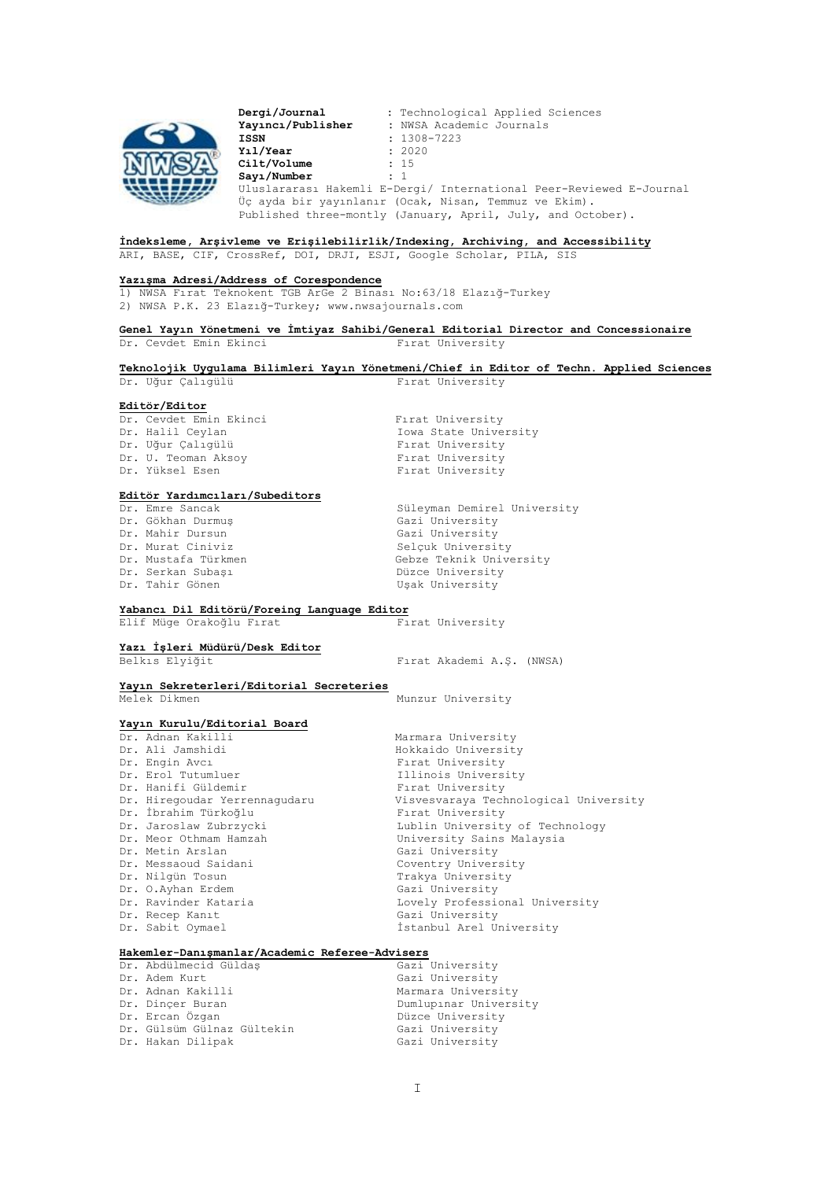

**Dergi/Journal :** Technological Applied Sciences **Yayıncı/Publisher :** NWSA Academic Journals **ISSN :** 1308-7223 **Yıl/Year :** 2020 **Cilt/Volume** : 1<br> **Sayı/Number** : 1  $Say1/Number$ Uluslararası Hakemli E-Dergi/ International Peer-Reviewed E-Journal Üç ayda bir yayınlanır (Ocak, Nisan, Temmuz ve Ekim). Published three-montly (January, April, July, and October).

**İndeksleme, Arşivleme ve Erişilebilirlik/Indexing, Archiving, and Accessibility**

ARI, BASE, CIF, CrossRef, DOI, DRJI, ESJI, Google Scholar, PILA, SIS

## **Yazışma Adresi/Address of Corespondence**

1) NWSA Fırat Teknokent TGB ArGe 2 Binası No:63/18 Elazığ-Turkey

2) NWSA P.K. 23 Elazığ-Turkey; [www.nwsajournals.com](http://dergipark.gov.tr/explore/journal?publisher_filters=NWSA+Akademik+Dergiler&type_filters=%C3%96zel)

## **Genel Yayın Yönetmeni ve İmtiyaz Sahibi/General Editorial Director and Concessionaire** Dr. Cevdet Emin Ekinci Firat University

#### **Teknolojik Uygulama Bilimleri Yayın Yönetmeni/Chief in Editor of Techn. Applied Sciences**  Dr. Uğur Calıgülü Firat University

**Editör/Editor**

Dr. Cevdet Emin Ekinci Fırat University Dr. Uğur Çalıgülü Dr. U. Teoman Aksoy **Film Community** Firat University

Dr. Halil Ceylan Iowa State University Dr. Yüksel Esen Firat University

# **Editör Yardımcıları/Subeditors**

| Dr. Emre Sancak     | Süleyman Demirel University |
|---------------------|-----------------------------|
| Dr. Gökhan Durmus   | Gazi University             |
| Dr. Mahir Dursun    | Gazi University             |
| Dr. Murat Ciniviz   | Selcuk University           |
| Dr. Mustafa Türkmen | Gebze Teknik University     |
| Dr. Serkan Subası   | Düzce University            |
| Dr. Tahir Gönen     | Usak University             |

# **Yabancı Dil Editörü/Foreing Language Editor**

Elif Müge Orakoğlu Fırat

### **Yazı İşleri Müdürü/Desk Editor**

Belkıs Elyiğit Fırat Akademi A.Ş. (NWSA)

**Yayın Sekreterleri/Editorial Secreteries** Munzur University

# **Yayın Kurulu/Editorial Board**

Dr. Adnan Kakilli Marmara University Dr. Ali Jamshidi **Hokkaido** University Dr. Engin Avcı Fırat University Dr. Hanifi Güldemir **Films** Firat University Dr. İbrahim Türkoğlu Fırat University br. Jaroslaw Zubrzycki Lublin University Dr. Metin Arslan Dr. Messaoud Saidani **Coventry University** Dr. Nilgün Tosun Trakya University Dr. O.Ayhan Erdem Gazi University Dr. Recep Kanıt Gazi University Cr. Sabit Oymael Gazi University Gazi University

Illinois University Dr. Hiregoudar Yerrennagudaru Visvesvaraya Technological University Dr. Jaroslaw Zubrzycki Lublin University of Technology University Sains Malaysia<br>Gazi University Dr. Ravinder Kataria and Lovely Professional University İstanbul Arel University

### **Hakemler-Danışmanlar/Academic Referee-Advisers**

| Dr. Abdülmecid Güldas      | Gazi University       |
|----------------------------|-----------------------|
| Dr. Adem Kurt              | Gazi University       |
| Dr. Adnan Kakilli          | Marmara University    |
| Dr. Dincer Buran           | Dumlupinar University |
| Dr. Ercan Özgan            | Düzce University      |
| Dr. Gülsüm Gülnaz Gültekin | Gazi University       |
| Dr. Hakan Dilipak          | Gazi University       |